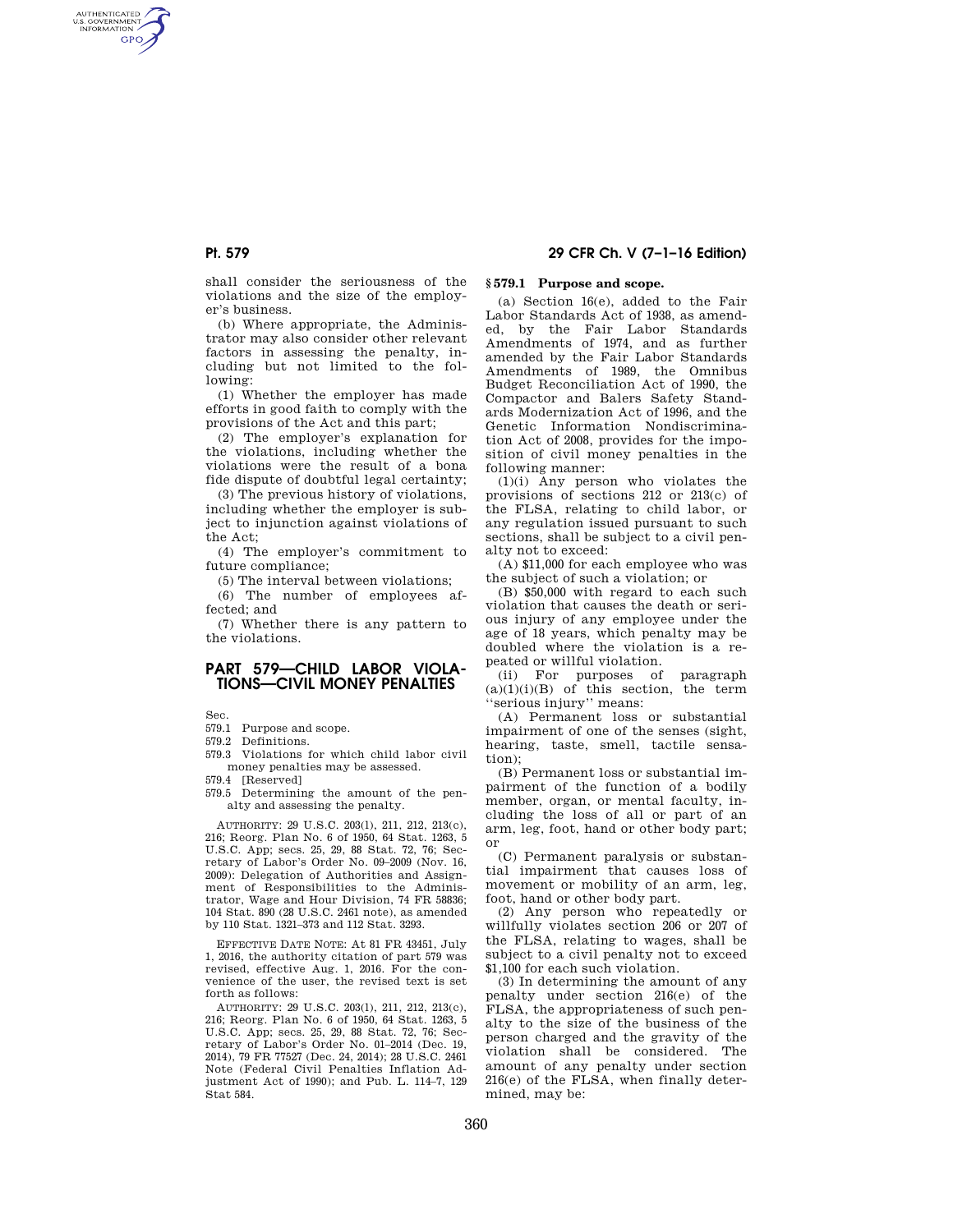AUTHENTICATED<br>U.S. GOVERNMENT<br>INFORMATION **GPO** 

> shall consider the seriousness of the violations and the size of the employer's business.

(b) Where appropriate, the Administrator may also consider other relevant factors in assessing the penalty, including but not limited to the following:

(1) Whether the employer has made efforts in good faith to comply with the provisions of the Act and this part;

(2) The employer's explanation for the violations, including whether the violations were the result of a bona fide dispute of doubtful legal certainty;

(3) The previous history of violations, including whether the employer is subject to injunction against violations of the Act;

(4) The employer's commitment to future compliance;

(5) The interval between violations;

(6) The number of employees affected; and

(7) Whether there is any pattern to the violations.

# **PART 579—CHILD LABOR VIOLA-TIONS—CIVIL MONEY PENALTIES**

Sec.

579.1 Purpose and scope.

579.2 Definitions.

- 579.3 Violations for which child labor civil money penalties may be assessed.
- 579.4 [Reserved]
- 579.5 Determining the amount of the penalty and assessing the penalty.

AUTHORITY: 29 U.S.C. 203(l), 211, 212, 213(c), 216; Reorg. Plan No. 6 of 1950, 64 Stat. 1263, 5 U.S.C. App; secs. 25, 29, 88 Stat. 72, 76; Secretary of Labor's Order No. 09–2009 (Nov. 16, 2009): Delegation of Authorities and Assignment of Responsibilities to the Administrator, Wage and Hour Division, 74 FR 58836; 104 Stat. 890 (28 U.S.C. 2461 note), as amended by 110 Stat. 1321–373 and 112 Stat. 3293.

EFFECTIVE DATE NOTE: At 81 FR 43451, July 1, 2016, the authority citation of part 579 was revised, effective Aug. 1, 2016. For the convenience of the user, the revised text is set forth as follows:

AUTHORITY: 29 U.S.C. 203(l), 211, 212, 213(c), 216; Reorg. Plan No. 6 of 1950, 64 Stat. 1263, 5 U.S.C. App; secs. 25, 29, 88 Stat. 72, 76; Secretary of Labor's Order No. 01–2014 (Dec. 19, 2014), 79 FR 77527 (Dec. 24, 2014); 28 U.S.C. 2461 Note (Federal Civil Penalties Inflation Adjustment Act of 1990); and Pub. L. 114–7, 129 Stat 584.

# **Pt. 579 29 CFR Ch. V (7–1–16 Edition)**

## **§ 579.1 Purpose and scope.**

(a) Section 16(e), added to the Fair Labor Standards Act of 1938, as amended, by the Fair Labor Standards Amendments of 1974, and as further amended by the Fair Labor Standards Amendments of 1989, the Omnibus Budget Reconciliation Act of 1990, the Compactor and Balers Safety Standards Modernization Act of 1996, and the Genetic Information Nondiscrimination Act of 2008, provides for the imposition of civil money penalties in the following manner:

(1)(i) Any person who violates the provisions of sections 212 or 213(c) of the FLSA, relating to child labor, or any regulation issued pursuant to such sections, shall be subject to a civil penalty not to exceed:

(A) \$11,000 for each employee who was the subject of such a violation; or

(B) \$50,000 with regard to each such violation that causes the death or serious injury of any employee under the age of 18 years, which penalty may be doubled where the violation is a repeated or willful violation.

(ii) For purposes of paragraph  $(a)(1)(i)(B)$  of this section, the term 'serious injury'' means:

(A) Permanent loss or substantial impairment of one of the senses (sight, hearing, taste, smell, tactile sensation);

(B) Permanent loss or substantial impairment of the function of a bodily member, organ, or mental faculty, including the loss of all or part of an arm, leg, foot, hand or other body part; or

(C) Permanent paralysis or substantial impairment that causes loss of movement or mobility of an arm, leg, foot, hand or other body part.

(2) Any person who repeatedly or willfully violates section 206 or 207 of the FLSA, relating to wages, shall be subject to a civil penalty not to exceed \$1,100 for each such violation.

(3) In determining the amount of any penalty under section 216(e) of the FLSA, the appropriateness of such penalty to the size of the business of the person charged and the gravity of the violation shall be considered. The amount of any penalty under section 216(e) of the FLSA, when finally determined, may be: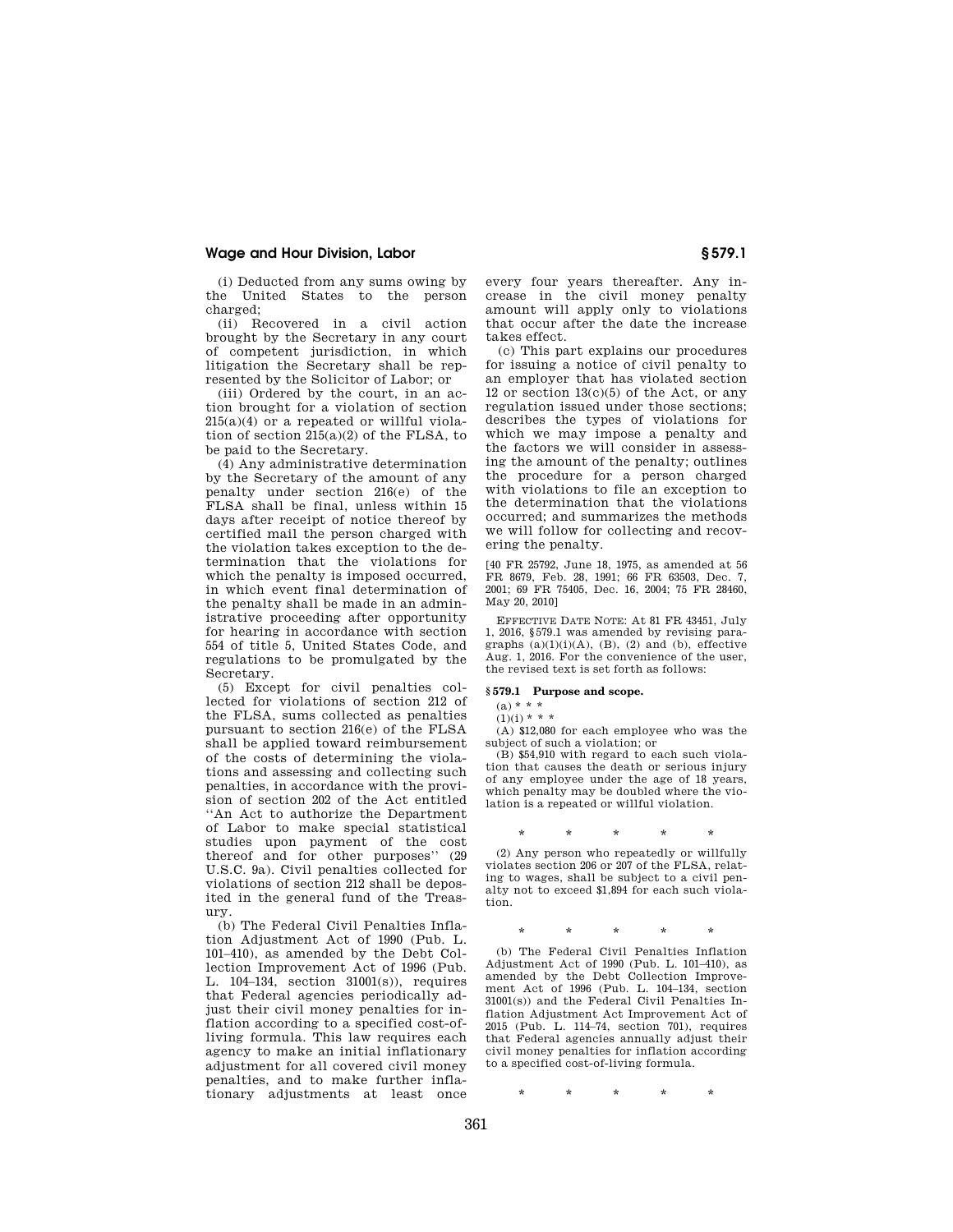## **Wage and Hour Division, Labor § 579.1**

(i) Deducted from any sums owing by the United States to the person charged;

(ii) Recovered in a civil action brought by the Secretary in any court of competent jurisdiction, in which litigation the Secretary shall be represented by the Solicitor of Labor; or

(iii) Ordered by the court, in an action brought for a violation of section  $215(a)(4)$  or a repeated or willful violation of section  $215(a)(2)$  of the FLSA, to be paid to the Secretary.

(4) Any administrative determination by the Secretary of the amount of any penalty under section 216(e) of the FLSA shall be final, unless within 15 days after receipt of notice thereof by certified mail the person charged with the violation takes exception to the determination that the violations for which the penalty is imposed occurred, in which event final determination of the penalty shall be made in an administrative proceeding after opportunity for hearing in accordance with section 554 of title 5, United States Code, and regulations to be promulgated by the Secretary.

(5) Except for civil penalties collected for violations of section 212 of the FLSA, sums collected as penalties pursuant to section 216(e) of the FLSA shall be applied toward reimbursement of the costs of determining the violations and assessing and collecting such penalties, in accordance with the provision of section 202 of the Act entitled ''An Act to authorize the Department of Labor to make special statistical studies upon payment of the cost thereof and for other purposes'' (29 U.S.C. 9a). Civil penalties collected for violations of section 212 shall be deposited in the general fund of the Treasury.

(b) The Federal Civil Penalties Inflation Adjustment Act of 1990 (Pub. L. 101–410), as amended by the Debt Collection Improvement Act of 1996 (Pub. L. 104–134, section 31001(s)), requires that Federal agencies periodically adjust their civil money penalties for inflation according to a specified cost-ofliving formula. This law requires each agency to make an initial inflationary adjustment for all covered civil money penalties, and to make further inflationary adjustments at least once

every four years thereafter. Any increase in the civil money penalty amount will apply only to violations that occur after the date the increase takes effect.

(c) This part explains our procedures for issuing a notice of civil penalty to an employer that has violated section 12 or section  $13(c)(5)$  of the Act, or any regulation issued under those sections; describes the types of violations for which we may impose a penalty and the factors we will consider in assessing the amount of the penalty; outlines the procedure for a person charged with violations to file an exception to the determination that the violations occurred; and summarizes the methods we will follow for collecting and recovering the penalty.

[40 FR 25792, June 18, 1975, as amended at 56 FR 8679, Feb. 28, 1991; 66 FR 63503, Dec. 7, 2001; 69 FR 75405, Dec. 16, 2004; 75 FR 28460, May 20, 2010]

EFFECTIVE DATE NOTE: At 81 FR 43451, July 1, 2016, §579.1 was amended by revising paragraphs  $(a)(1)(i)(A)$ ,  $(B)$ ,  $(2)$  and  $(b)$ , effective Aug. 1, 2016. For the convenience of the user, the revised text is set forth as follows:

# **§ 579.1 Purpose and scope.**

 $(a) * *$  $(1)(i) * * *$ 

(A) \$12,080 for each employee who was the subject of such a violation; or

(B) \$54,910 with regard to each such violation that causes the death or serious injury of any employee under the age of 18 years, which penalty may be doubled where the violation is a repeated or willful violation.

$$
\star\qquad \star\qquad \star\qquad \star\qquad \star
$$

(2) Any person who repeatedly or willfully violates section 206 or 207 of the FLSA, relating to wages, shall be subject to a civil penalty not to exceed \$1,894 for each such violation.

$$
\star\qquad \star\qquad \star\qquad \star\qquad \star
$$

(b) The Federal Civil Penalties Inflation Adjustment Act of 1990 (Pub. L. 101–410), as amended by the Debt Collection Improvement Act of 1996 (Pub. L. 104–134, section 31001(s)) and the Federal Civil Penalties Inflation Adjustment Act Improvement Act of 2015 (Pub. L. 114–74, section 701), requires that Federal agencies annually adjust their civil money penalties for inflation according to a specified cost-of-living formula.

\* \* \* \* \*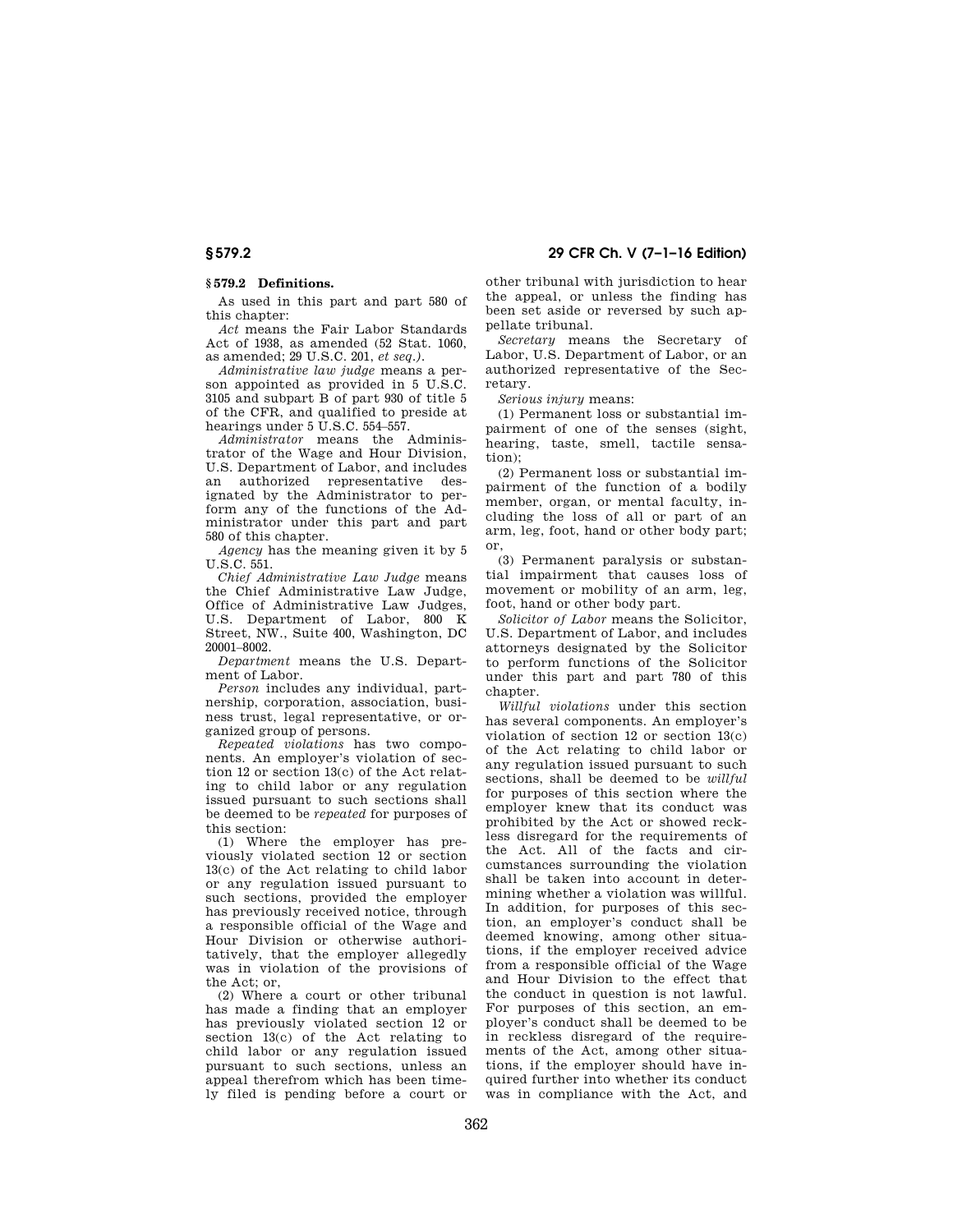## **§ 579.2 Definitions.**

As used in this part and part 580 of this chapter:

*Act* means the Fair Labor Standards Act of 1938, as amended (52 Stat. 1060, as amended; 29 U.S.C. 201, *et seq.).* 

*Administrative law judge* means a person appointed as provided in 5 U.S.C. 3105 and subpart B of part 930 of title 5 of the CFR, and qualified to preside at hearings under 5 U.S.C. 554–557.

*Administrator* means the Administrator of the Wage and Hour Division, U.S. Department of Labor, and includes an authorized representative designated by the Administrator to perform any of the functions of the Administrator under this part and part 580 of this chapter.

*Agency* has the meaning given it by 5  $U.S.C. 551$ 

*Chief Administrative Law Judge* means the Chief Administrative Law Judge, Office of Administrative Law Judges, U.S. Department of Labor, 800 K Street, NW., Suite 400, Washington, DC 20001–8002.

*Department* means the U.S. Department of Labor.

*Person* includes any individual, partnership, corporation, association, business trust, legal representative, or organized group of persons.

*Repeated violations* has two components. An employer's violation of section 12 or section 13(c) of the Act relating to child labor or any regulation issued pursuant to such sections shall be deemed to be *repeated* for purposes of this section:

(1) Where the employer has previously violated section 12 or section 13(c) of the Act relating to child labor or any regulation issued pursuant to such sections, provided the employer has previously received notice, through a responsible official of the Wage and Hour Division or otherwise authoritatively, that the employer allegedly was in violation of the provisions of the Act; or,

(2) Where a court or other tribunal has made a finding that an employer has previously violated section 12 or section 13(c) of the Act relating to child labor or any regulation issued pursuant to such sections, unless an appeal therefrom which has been timely filed is pending before a court or

other tribunal with jurisdiction to hear the appeal, or unless the finding has been set aside or reversed by such appellate tribunal.

*Secretary* means the Secretary of Labor, U.S. Department of Labor, or an authorized representative of the Secretary.

*Serious injury* means:

(1) Permanent loss or substantial impairment of one of the senses (sight, hearing, taste, smell, tactile sensation);

(2) Permanent loss or substantial impairment of the function of a bodily member, organ, or mental faculty, including the loss of all or part of an arm, leg, foot, hand or other body part; or,

(3) Permanent paralysis or substantial impairment that causes loss of movement or mobility of an arm, leg, foot, hand or other body part.

*Solicitor of Labor* means the Solicitor, U.S. Department of Labor, and includes attorneys designated by the Solicitor to perform functions of the Solicitor under this part and part 780 of this chapter.

*Willful violations* under this section has several components. An employer's violation of section 12 or section 13(c) of the Act relating to child labor or any regulation issued pursuant to such sections, shall be deemed to be *willful*  for purposes of this section where the employer knew that its conduct was prohibited by the Act or showed reckless disregard for the requirements of the Act. All of the facts and circumstances surrounding the violation shall be taken into account in determining whether a violation was willful. In addition, for purposes of this section, an employer's conduct shall be deemed knowing, among other situations, if the employer received advice from a responsible official of the Wage and Hour Division to the effect that the conduct in question is not lawful. For purposes of this section, an employer's conduct shall be deemed to be in reckless disregard of the requirements of the Act, among other situations, if the employer should have inquired further into whether its conduct was in compliance with the Act, and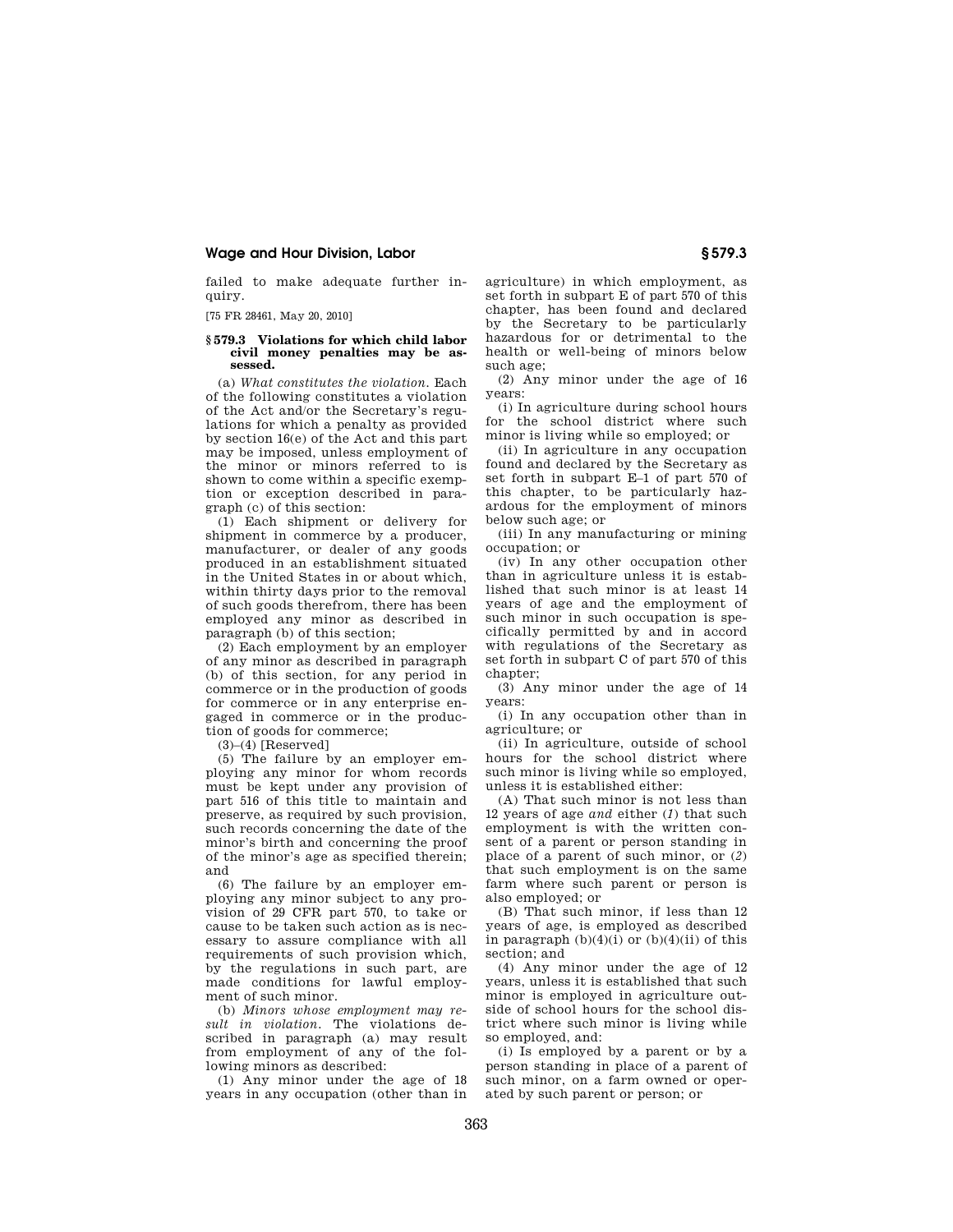## **Wage and Hour Division, Labor § 579.3**

failed to make adequate further inquiry.

[75 FR 28461, May 20, 2010]

### **§ 579.3 Violations for which child labor civil money penalties may be assessed.**

(a) *What constitutes the violation.* Each of the following constitutes a violation of the Act and/or the Secretary's regulations for which a penalty as provided by section 16(e) of the Act and this part may be imposed, unless employment of the minor or minors referred to is shown to come within a specific exemption or exception described in paragraph (c) of this section:

(1) Each shipment or delivery for shipment in commerce by a producer, manufacturer, or dealer of any goods produced in an establishment situated in the United States in or about which, within thirty days prior to the removal of such goods therefrom, there has been employed any minor as described in paragraph (b) of this section;

(2) Each employment by an employer of any minor as described in paragraph (b) of this section, for any period in commerce or in the production of goods for commerce or in any enterprise engaged in commerce or in the production of goods for commerce;

 $(3)$ – $(4)$  [Reserved]

(5) The failure by an employer employing any minor for whom records must be kept under any provision of part 516 of this title to maintain and preserve, as required by such provision, such records concerning the date of the minor's birth and concerning the proof of the minor's age as specified therein; and

(6) The failure by an employer employing any minor subject to any provision of 29 CFR part 570, to take or cause to be taken such action as is necessary to assure compliance with all requirements of such provision which, by the regulations in such part, are made conditions for lawful employment of such minor.

(b) *Minors whose employment may result in violation.* The violations described in paragraph (a) may result from employment of any of the following minors as described:

(1) Any minor under the age of 18 years in any occupation (other than in

agriculture) in which employment, as set forth in subpart E of part 570 of this chapter, has been found and declared by the Secretary to be particularly hazardous for or detrimental to the health or well-being of minors below such age;

(2) Any minor under the age of 16 years:

(i) In agriculture during school hours for the school district where such minor is living while so employed; or

(ii) In agriculture in any occupation found and declared by the Secretary as set forth in subpart E–1 of part 570 of this chapter, to be particularly hazardous for the employment of minors below such age; or

(iii) In any manufacturing or mining occupation; or

(iv) In any other occupation other than in agriculture unless it is established that such minor is at least 14 years of age and the employment of such minor in such occupation is specifically permitted by and in accord with regulations of the Secretary as set forth in subpart C of part 570 of this chapter;

(3) Any minor under the age of 14 years:

(i) In any occupation other than in agriculture; or

(ii) In agriculture, outside of school hours for the school district where such minor is living while so employed, unless it is established either:

(A) That such minor is not less than 12 years of age *and* either (*1*) that such employment is with the written consent of a parent or person standing in place of a parent of such minor, or (*2*) that such employment is on the same farm where such parent or person is also employed; or

(B) That such minor, if less than 12 years of age, is employed as described in paragraph  $(b)(4)(i)$  or  $(b)(4)(ii)$  of this section; and

(4) Any minor under the age of 12 years, unless it is established that such minor is employed in agriculture outside of school hours for the school district where such minor is living while so employed, and:

(i) Is employed by a parent or by a person standing in place of a parent of such minor, on a farm owned or operated by such parent or person; or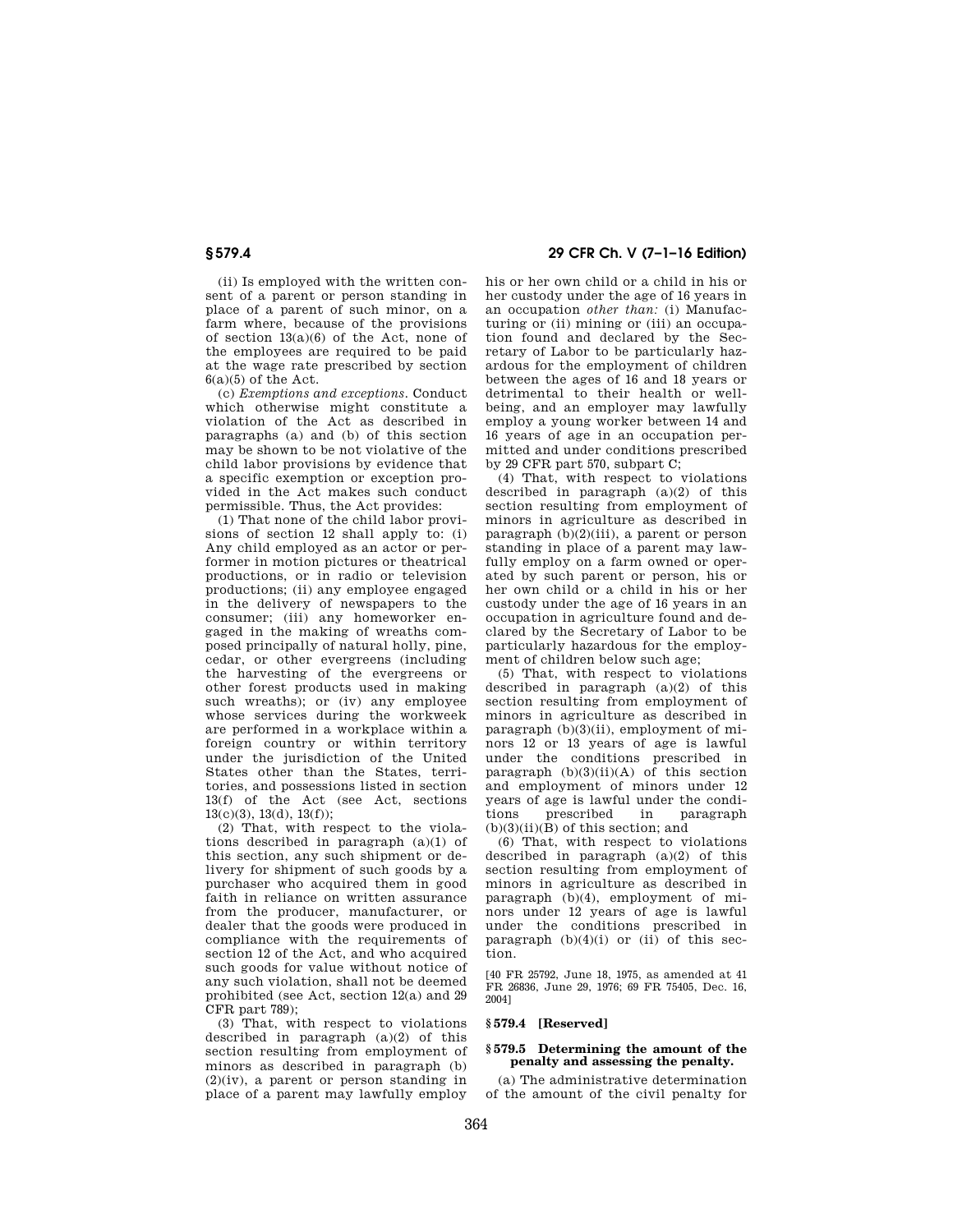(ii) Is employed with the written consent of a parent or person standing in place of a parent of such minor, on a farm where, because of the provisions of section 13(a)(6) of the Act, none of the employees are required to be paid at the wage rate prescribed by section  $6(a)(5)$  of the Act.

(c) *Exemptions and exceptions.* Conduct which otherwise might constitute a violation of the Act as described in paragraphs (a) and (b) of this section may be shown to be not violative of the child labor provisions by evidence that a specific exemption or exception provided in the Act makes such conduct permissible. Thus, the Act provides:

(1) That none of the child labor provisions of section 12 shall apply to: (i) Any child employed as an actor or performer in motion pictures or theatrical productions, or in radio or television productions; (ii) any employee engaged in the delivery of newspapers to the consumer; (iii) any homeworker engaged in the making of wreaths composed principally of natural holly, pine, cedar, or other evergreens (including the harvesting of the evergreens or other forest products used in making such wreaths); or (iv) any employee whose services during the workweek are performed in a workplace within a foreign country or within territory under the jurisdiction of the United States other than the States, territories, and possessions listed in section 13(f) of the Act (see Act, sections  $13(c)(3)$ ,  $13(d)$ ,  $13(f)$ ;

(2) That, with respect to the violations described in paragraph (a)(1) of this section, any such shipment or delivery for shipment of such goods by a purchaser who acquired them in good faith in reliance on written assurance from the producer, manufacturer, or dealer that the goods were produced in compliance with the requirements of section 12 of the Act, and who acquired such goods for value without notice of any such violation, shall not be deemed prohibited (see Act, section 12(a) and 29 CFR part 789);

(3) That, with respect to violations described in paragraph  $(a)(2)$  of this section resulting from employment of minors as described in paragraph (b)  $(2)(iv)$ , a parent or person standing in place of a parent may lawfully employ

**§ 579.4 29 CFR Ch. V (7–1–16 Edition)** 

his or her own child or a child in his or her custody under the age of 16 years in an occupation *other than:* (i) Manufacturing or (ii) mining or (iii) an occupation found and declared by the Secretary of Labor to be particularly hazardous for the employment of children between the ages of 16 and 18 years or detrimental to their health or wellbeing, and an employer may lawfully employ a young worker between 14 and 16 years of age in an occupation permitted and under conditions prescribed by 29 CFR part 570, subpart C;

(4) That, with respect to violations described in paragraph  $(a)(2)$  of this section resulting from employment of minors in agriculture as described in paragraph  $(b)(2)(iii)$ , a parent or person standing in place of a parent may lawfully employ on a farm owned or operated by such parent or person, his or her own child or a child in his or her custody under the age of 16 years in an occupation in agriculture found and declared by the Secretary of Labor to be particularly hazardous for the employment of children below such age;

(5) That, with respect to violations described in paragraph  $(a)(2)$  of this section resulting from employment of minors in agriculture as described in paragraph (b)(3)(ii), employment of minors 12 or 13 years of age is lawful under the conditions prescribed in paragraph  $(b)(3)(ii)(A)$  of this section and employment of minors under 12 years of age is lawful under the conditions prescribed in paragraph prescribed  $(b)(3)(ii)(B)$  of this section; and

(6) That, with respect to violations described in paragraph (a)(2) of this section resulting from employment of minors in agriculture as described in paragraph (b)(4), employment of minors under 12 years of age is lawful under the conditions prescribed in paragraph  $(b)(4)(i)$  or  $(ii)$  of this section.

[40 FR 25792, June 18, 1975, as amended at 41 FR 26836, June 29, 1976; 69 FR 75405, Dec. 16, 2004]

# **§ 579.4 [Reserved]**

## **§ 579.5 Determining the amount of the penalty and assessing the penalty.**

(a) The administrative determination of the amount of the civil penalty for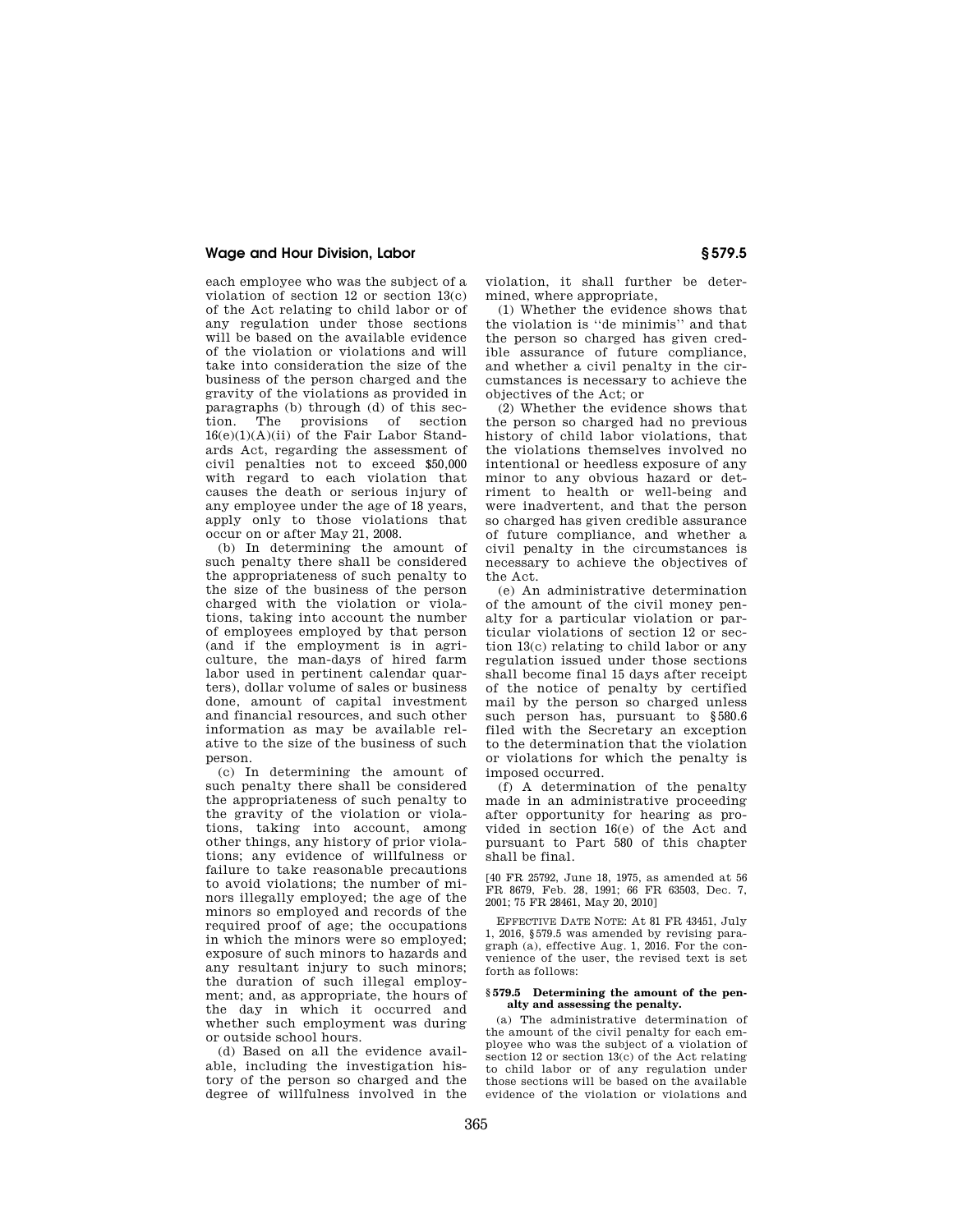## **Wage and Hour Division, Labor § 579.5**

each employee who was the subject of a violation of section 12 or section 13(c) of the Act relating to child labor or of any regulation under those sections will be based on the available evidence of the violation or violations and will take into consideration the size of the business of the person charged and the gravity of the violations as provided in paragraphs (b) through (d) of this sec-<br>tion. The provisions of section The provisions of section  $16(e)(1)(A)(ii)$  of the Fair Labor Standards Act, regarding the assessment of civil penalties not to exceed \$50,000 with regard to each violation that causes the death or serious injury of any employee under the age of 18 years, apply only to those violations that occur on or after May 21, 2008.

(b) In determining the amount of such penalty there shall be considered the appropriateness of such penalty to the size of the business of the person charged with the violation or violations, taking into account the number of employees employed by that person (and if the employment is in agriculture, the man-days of hired farm labor used in pertinent calendar quarters), dollar volume of sales or business done, amount of capital investment and financial resources, and such other information as may be available relative to the size of the business of such person.

(c) In determining the amount of such penalty there shall be considered the appropriateness of such penalty to the gravity of the violation or violations, taking into account, among other things, any history of prior violations; any evidence of willfulness or failure to take reasonable precautions to avoid violations; the number of minors illegally employed; the age of the minors so employed and records of the required proof of age; the occupations in which the minors were so employed; exposure of such minors to hazards and any resultant injury to such minors; the duration of such illegal employment; and, as appropriate, the hours of the day in which it occurred and whether such employment was during or outside school hours.

(d) Based on all the evidence available, including the investigation history of the person so charged and the degree of willfulness involved in the violation, it shall further be determined, where appropriate,

(1) Whether the evidence shows that the violation is ''de minimis'' and that the person so charged has given credible assurance of future compliance, and whether a civil penalty in the circumstances is necessary to achieve the objectives of the Act; or

(2) Whether the evidence shows that the person so charged had no previous history of child labor violations, that the violations themselves involved no intentional or heedless exposure of any minor to any obvious hazard or detriment to health or well-being and were inadvertent, and that the person so charged has given credible assurance of future compliance, and whether a civil penalty in the circumstances is necessary to achieve the objectives of the Act.

(e) An administrative determination of the amount of the civil money penalty for a particular violation or particular violations of section 12 or section 13(c) relating to child labor or any regulation issued under those sections shall become final 15 days after receipt of the notice of penalty by certified mail by the person so charged unless such person has, pursuant to §580.6 filed with the Secretary an exception to the determination that the violation or violations for which the penalty is imposed occurred.

(f) A determination of the penalty made in an administrative proceeding after opportunity for hearing as provided in section 16(e) of the Act and pursuant to Part 580 of this chapter shall be final.

[40 FR 25792, June 18, 1975, as amended at 56 FR 8679, Feb. 28, 1991; 66 FR 63503, Dec. 7, 2001; 75 FR 28461, May 20, 2010]

EFFECTIVE DATE NOTE: At 81 FR 43451, July 1, 2016, §579.5 was amended by revising paragraph (a), effective Aug. 1, 2016. For the convenience of the user, the revised text is set forth as follows:

### **§ 579.5 Determining the amount of the penalty and assessing the penalty.**

(a) The administrative determination of the amount of the civil penalty for each employee who was the subject of a violation of section 12 or section 13(c) of the Act relating to child labor or of any regulation under those sections will be based on the available evidence of the violation or violations and